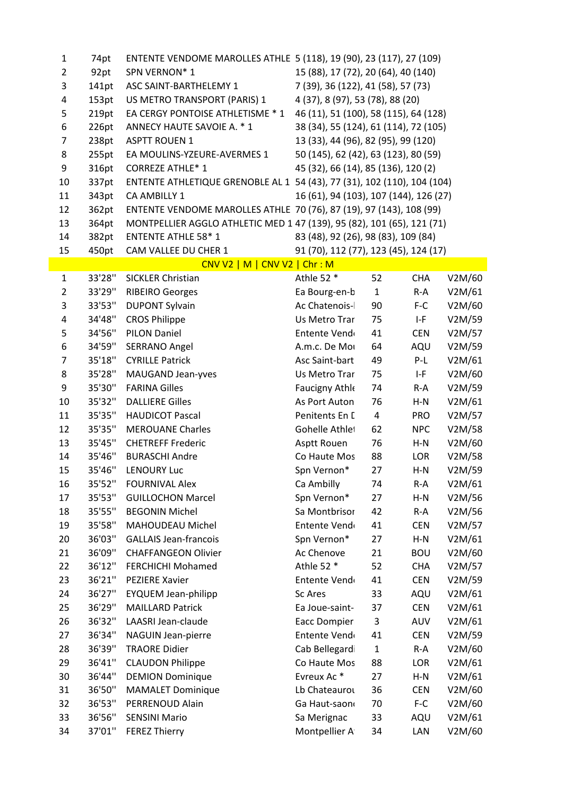| 1              | 74pt    | ENTENTE VENDOME MAROLLES ATHLE 5 (118), 19 (90), 23 (117), 27 (109)     |                                        |              |            |        |
|----------------|---------|-------------------------------------------------------------------------|----------------------------------------|--------------|------------|--------|
| $\overline{2}$ | 92pt    | SPN VERNON*1                                                            | 15 (88), 17 (72), 20 (64), 40 (140)    |              |            |        |
| 3              | 141pt   | ASC SAINT-BARTHELEMY 1                                                  | 7 (39), 36 (122), 41 (58), 57 (73)     |              |            |        |
| 4              | 153pt   | US METRO TRANSPORT (PARIS) 1                                            | 4 (37), 8 (97), 53 (78), 88 (20)       |              |            |        |
| 5              | 219pt   | EA CERGY PONTOISE ATHLETISME * 1                                        | 46 (11), 51 (100), 58 (115), 64 (128)  |              |            |        |
| 6              | 226pt   | ANNECY HAUTE SAVOIE A. * 1                                              | 38 (34), 55 (124), 61 (114), 72 (105)  |              |            |        |
| 7              | 238pt   | <b>ASPTT ROUEN 1</b>                                                    | 13 (33), 44 (96), 82 (95), 99 (120)    |              |            |        |
| 8              | 255pt   | EA MOULINS-YZEURE-AVERMES 1                                             | 50 (145), 62 (42), 63 (123), 80 (59)   |              |            |        |
| 9              | 316pt   | <b>CORREZE ATHLE* 1</b>                                                 | 45 (32), 66 (14), 85 (136), 120 (2)    |              |            |        |
| 10             | 337pt   | ENTENTE ATHLETIQUE GRENOBLE AL 1 54 (43), 77 (31), 102 (110), 104 (104) |                                        |              |            |        |
| 11             | 343pt   | CA AMBILLY 1                                                            | 16 (61), 94 (103), 107 (144), 126 (27) |              |            |        |
| 12             | 362pt   | ENTENTE VENDOME MAROLLES ATHLE 70 (76), 87 (19), 97 (143), 108 (99)     |                                        |              |            |        |
| 13             | 364pt   | MONTPELLIER AGGLO ATHLETIC MED 1 47 (139), 95 (82), 101 (65), 121 (71)  |                                        |              |            |        |
| 14             | 382pt   | <b>ENTENTE ATHLE 58*1</b>                                               | 83 (48), 92 (26), 98 (83), 109 (84)    |              |            |        |
| 15             | 450pt   | CAM VALLEE DU CHER 1                                                    | 91 (70), 112 (77), 123 (45), 124 (17)  |              |            |        |
|                |         | $CNV2$   M   CNV V2   Chr : M                                           |                                        |              |            |        |
| $\mathbf{1}$   | 33'28"  | <b>SICKLER Christian</b>                                                | Athle 52 *                             | 52           | <b>CHA</b> | V2M/60 |
| 2              | 33'29"  | <b>RIBEIRO Georges</b>                                                  | Ea Bourg-en-b                          | $1\,$        | $R-A$      | V2M/61 |
| 3              | 33'53"  | <b>DUPONT Sylvain</b>                                                   | Ac Chatenois-                          | 90           | $F-C$      | V2M/60 |
| 4              | 34'48"  | <b>CROS Philippe</b>                                                    | Us Metro Trar                          | 75           | $I-F$      | V2M/59 |
| 5              | 34'56"  | <b>PILON Daniel</b>                                                     | Entente Vend                           | 41           | <b>CEN</b> | V2M/57 |
| 6              | 34'59"  | <b>SERRANO Angel</b>                                                    | A.m.c. De Mo                           | 64           | AQU        | V2M/59 |
| 7              | 35'18'' | <b>CYRILLE Patrick</b>                                                  | Asc Saint-bart                         | 49           | $P-L$      | V2M/61 |
| 8              | 35'28"  | MAUGAND Jean-yves                                                       | Us Metro Trar                          | 75           | I-F        | V2M/60 |
| 9              | 35'30"  | <b>FARINA Gilles</b>                                                    | Faucigny Athle                         | 74           | $R-A$      | V2M/59 |
| 10             | 35'32"  | <b>DALLIERE Gilles</b>                                                  | As Port Auton                          | 76           | $H-N$      | V2M/61 |
| 11             | 35'35"  | <b>HAUDICOT Pascal</b>                                                  | Penitents En I                         | 4            | <b>PRO</b> | V2M/57 |
| 12             | 35'35"  | <b>MEROUANE Charles</b>                                                 | Gohelle Athlet                         | 62           | <b>NPC</b> | V2M/58 |
| 13             | 35'45"  | <b>CHETREFF Frederic</b>                                                | Asptt Rouen                            | 76           | $H-N$      | V2M/60 |
| 14             | 35'46"  | <b>BURASCHI Andre</b>                                                   | Co Haute Mos                           | 88           | LOR        | V2M/58 |
| 15             | 35'46"  | <b>LENOURY Luc</b>                                                      | Spn Vernon*                            | 27           | $H-N$      | V2M/59 |
| 16             | 35'52"  | <b>FOURNIVAL Alex</b>                                                   | Ca Ambilly                             | 74           | $R-A$      | V2M/61 |
| 17             | 35'53"  | <b>GUILLOCHON Marcel</b>                                                | Spn Vernon*                            | 27           | $H-N$      | V2M/56 |
| 18             | 35'55"  | <b>BEGONIN Michel</b>                                                   | Sa Montbrisor                          | 42           | $R-A$      | V2M/56 |
| 19             | 35'58"  | MAHOUDEAU Michel                                                        | Entente Vend                           | 41           | <b>CEN</b> | V2M/57 |
| 20             | 36'03"  | <b>GALLAIS Jean-francois</b>                                            | Spn Vernon*                            | 27           | $H-N$      | V2M/61 |
| 21             | 36'09"  | <b>CHAFFANGEON Olivier</b>                                              | Ac Chenove                             | 21           | <b>BOU</b> | V2M/60 |
| 22             | 36'12"  | <b>FERCHICHI Mohamed</b>                                                | Athle 52 *                             | 52           | <b>CHA</b> | V2M/57 |
| 23             | 36'21"  | <b>PEZIERE Xavier</b>                                                   | Entente Vend                           | 41           | <b>CEN</b> | V2M/59 |
| 24             | 36'27"  | <b>EYQUEM Jean-philipp</b>                                              | <b>Sc Ares</b>                         | 33           | AQU        | V2M/61 |
| 25             | 36'29"  | <b>MAILLARD Patrick</b>                                                 | Ea Joue-saint-                         | 37           | <b>CEN</b> | V2M/61 |
| 26             | 36'32"  | LAASRI Jean-claude                                                      | <b>Eacc Dompier</b>                    | 3            | AUV        | V2M/61 |
| 27             | 36'34"  | NAGUIN Jean-pierre                                                      | Entente Vend                           | 41           | <b>CEN</b> | V2M/59 |
| 28             | 36'39"  | <b>TRAORE Didier</b>                                                    | Cab Bellegard                          | $\mathbf{1}$ | $R-A$      | V2M/60 |
| 29             | 36'41"  | <b>CLAUDON Philippe</b>                                                 | Co Haute Mos                           | 88           | LOR        | V2M/61 |
| 30             | 36'44"  | <b>DEMION Dominique</b>                                                 | Evreux Ac*                             | 27           | $H-N$      | V2M/61 |
| 31             | 36'50"  | <b>MAMALET Dominique</b>                                                | Lb Chateaurou                          | 36           | <b>CEN</b> | V2M/60 |
| 32             | 36'53"  | PERRENOUD Alain                                                         | Ga Haut-saon                           | 70           | F-C        | V2M/60 |
| 33             | 36'56"  | <b>SENSINI Mario</b>                                                    | Sa Merignac                            | 33           | AQU        | V2M/61 |
| 34             | 37'01"  | <b>FEREZ Thierry</b>                                                    | Montpellier A                          | 34           | LAN        | V2M/60 |
|                |         |                                                                         |                                        |              |            |        |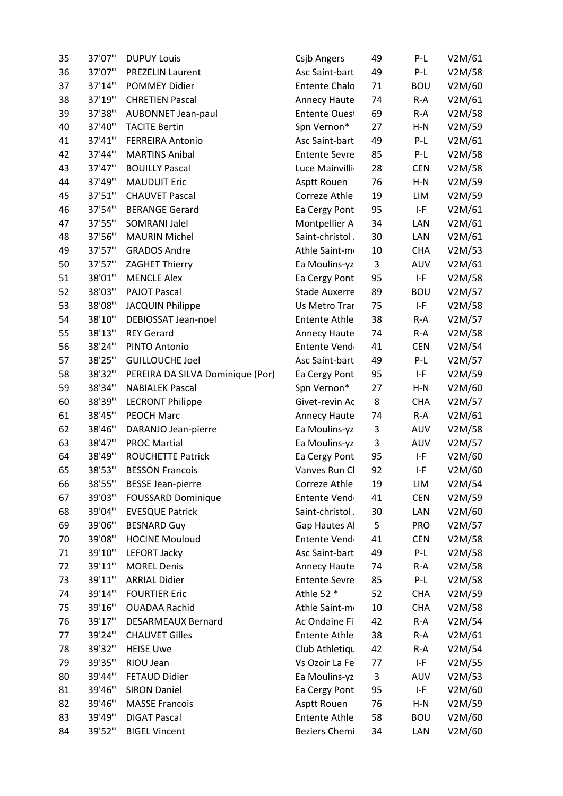| 35 | 37'07'' | <b>DUPUY Louis</b>               | <b>Csjb Angers</b>   | 49 | $P-L$      | V2M/61 |
|----|---------|----------------------------------|----------------------|----|------------|--------|
| 36 | 37'07"  | <b>PREZELIN Laurent</b>          | Asc Saint-bart       | 49 | $P-L$      | V2M/58 |
| 37 | 37'14"  | <b>POMMEY Didier</b>             | <b>Entente Chalo</b> | 71 | <b>BOU</b> | V2M/60 |
| 38 | 37'19"  | <b>CHRETIEN Pascal</b>           | Annecy Haute         | 74 | $R-A$      | V2M/61 |
| 39 | 37'38"  | <b>AUBONNET Jean-paul</b>        | Entente Oues!        | 69 | $R-A$      | V2M/58 |
| 40 | 37'40"  | <b>TACITE Bertin</b>             | Spn Vernon*          | 27 | $H-N$      | V2M/59 |
| 41 | 37'41"  | <b>FERREIRA Antonio</b>          | Asc Saint-bart       | 49 | P-L        | V2M/61 |
| 42 | 37'44"  | <b>MARTINS Anibal</b>            | <b>Entente Sevre</b> | 85 | $P-L$      | V2M/58 |
| 43 | 37'47"  | <b>BOUILLY Pascal</b>            | Luce Mainvilli       | 28 | <b>CEN</b> | V2M/58 |
| 44 | 37'49"  | <b>MAUDUIT Eric</b>              | Asptt Rouen          | 76 | $H-N$      | V2M/59 |
| 45 | 37'51"  | <b>CHAUVET Pascal</b>            | Correze Athle        | 19 | LIM        | V2M/59 |
| 46 | 37'54"  | <b>BERANGE Gerard</b>            | Ea Cergy Pont        | 95 | $I-F$      | V2M/61 |
| 47 | 37'55"  | <b>SOMRANI Jalel</b>             | Montpellier A        | 34 | LAN        | V2M/61 |
| 48 | 37'56"  | <b>MAURIN Michel</b>             | Saint-christol       | 30 | LAN        | V2M/61 |
| 49 | 37'57"  | <b>GRADOS Andre</b>              | Athle Saint-m        | 10 | <b>CHA</b> | V2M/53 |
| 50 | 37'57"  | ZAGHET Thierry                   | Ea Moulins-yz        | 3  | AUV        | V2M/61 |
| 51 | 38'01"  | <b>MENCLE Alex</b>               | Ea Cergy Pont        | 95 | $I-F$      | V2M/58 |
| 52 | 38'03"  | <b>PAJOT Pascal</b>              | <b>Stade Auxerre</b> | 89 | <b>BOU</b> | V2M/57 |
| 53 | 38'08"  | <b>JACQUIN Philippe</b>          | Us Metro Trar        | 75 | $I-F$      | V2M/58 |
| 54 | 38'10"  | DEBIOSSAT Jean-noel              | Entente Athle        | 38 | $R-A$      | V2M/57 |
| 55 | 38'13"  | <b>REY Gerard</b>                | Annecy Haute         | 74 | $R-A$      | V2M/58 |
| 56 | 38'24"  | PINTO Antonio                    | Entente Vend         | 41 | <b>CEN</b> | V2M/54 |
| 57 | 38'25"  | <b>GUILLOUCHE Joel</b>           | Asc Saint-bart       | 49 | $P-L$      | V2M/57 |
| 58 | 38'32"  | PEREIRA DA SILVA Dominique (Por) | Ea Cergy Pont        | 95 | $I-F$      | V2M/59 |
| 59 | 38'34"  | <b>NABIALEK Pascal</b>           | Spn Vernon*          | 27 | $H-N$      | V2M/60 |
| 60 | 38'39"  | <b>LECRONT Philippe</b>          | Givet-revin Ac       | 8  | <b>CHA</b> | V2M/57 |
| 61 | 38'45"  | <b>PEOCH Marc</b>                | Annecy Haute         | 74 | $R-A$      | V2M/61 |
| 62 | 38'46"  | DARANJO Jean-pierre              | Ea Moulins-yz        | 3  | AUV        | V2M/58 |
| 63 | 38'47"  | <b>PROC Martial</b>              | Ea Moulins-yz        | 3  | AUV        | V2M/57 |
| 64 | 38'49"  | ROUCHETTE Patrick                | Ea Cergy Pont        | 95 | $I-F$      | V2M/60 |
| 65 | 38'53"  | <b>BESSON Francois</b>           | Vanves Run Cl        | 92 | $I-F$      | V2M/60 |
| 66 | 38'55"  | <b>BESSE Jean-pierre</b>         | Correze Athle        | 19 | LIM        | V2M/54 |
| 67 | 39'03"  | <b>FOUSSARD Dominique</b>        | Entente Vend         | 41 | <b>CEN</b> | V2M/59 |
| 68 | 39'04"  | <b>EVESQUE Patrick</b>           | Saint-christol       | 30 | LAN        | V2M/60 |
| 69 | 39'06"  | <b>BESNARD Guy</b>               | Gap Hautes Al        | 5  | <b>PRO</b> | V2M/57 |
| 70 | 39'08"  | <b>HOCINE Mouloud</b>            | Entente Vend         | 41 | <b>CEN</b> | V2M/58 |
| 71 | 39'10"  | <b>LEFORT Jacky</b>              | Asc Saint-bart       | 49 | $P-L$      | V2M/58 |
| 72 | 39'11"  | <b>MOREL Denis</b>               | Annecy Haute         | 74 | $R-A$      | V2M/58 |
| 73 | 39'11"  | <b>ARRIAL Didier</b>             | <b>Entente Sevre</b> | 85 | $P-L$      | V2M/58 |
| 74 | 39'14"  | <b>FOURTIER Eric</b>             | Athle 52 *           | 52 | <b>CHA</b> | V2M/59 |
| 75 | 39'16"  | <b>OUADAA Rachid</b>             | Athle Saint-mo       | 10 | <b>CHA</b> | V2M/58 |
| 76 | 39'17"  | <b>DESARMEAUX Bernard</b>        | Ac Ondaine Fi        | 42 | $R-A$      | V2M/54 |
| 77 | 39'24"  | <b>CHAUVET Gilles</b>            | <b>Entente Athle</b> | 38 | $R-A$      | V2M/61 |
| 78 | 39'32"  | <b>HEISE Uwe</b>                 | Club Athletiqu       | 42 | $R-A$      | V2M/54 |
| 79 | 39'35"  | RIOU Jean                        | Vs Ozoir La Fe       | 77 | $I-F$      | V2M/55 |
| 80 | 39'44"  | <b>FETAUD Didier</b>             | Ea Moulins-yz        | 3  | AUV        | V2M/53 |
| 81 | 39'46"  | <b>SIRON Daniel</b>              | Ea Cergy Pont        | 95 | I-F        | V2M/60 |
| 82 | 39'46"  | <b>MASSE Francois</b>            | Asptt Rouen          | 76 | $H-N$      | V2M/59 |
| 83 | 39'49"  | <b>DIGAT Pascal</b>              | <b>Entente Athle</b> | 58 | <b>BOU</b> | V2M/60 |
| 84 | 39'52"  | <b>BIGEL Vincent</b>             | <b>Beziers Chemi</b> | 34 | LAN        | V2M/60 |
|    |         |                                  |                      |    |            |        |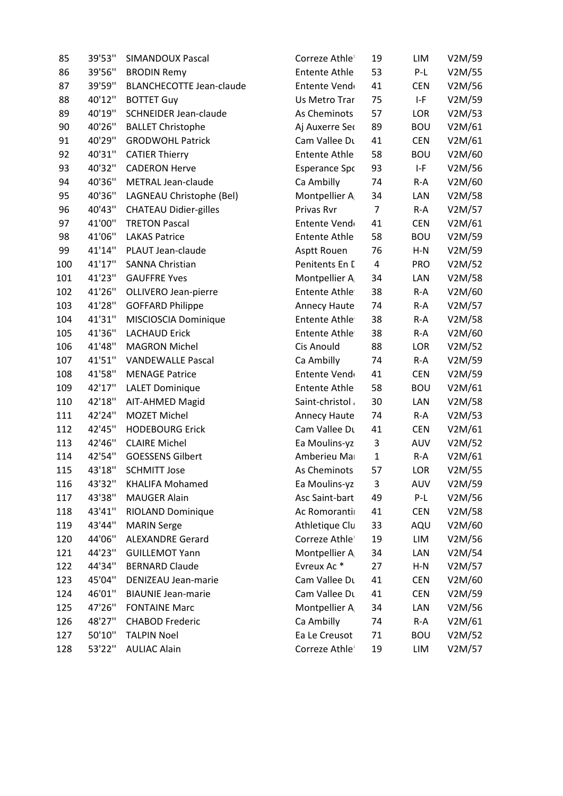| 85  | 39'53" | <b>SIMANDOUX Pascal</b>         | Correze Athle        | 19           | LIM        | V2M/59 |
|-----|--------|---------------------------------|----------------------|--------------|------------|--------|
| 86  | 39'56" | <b>BRODIN Remy</b>              | <b>Entente Athle</b> | 53           | $P-L$      | V2M/55 |
| 87  | 39'59" | <b>BLANCHECOTTE Jean-claude</b> | Entente Vend         | 41           | <b>CEN</b> | V2M/56 |
| 88  | 40'12" | <b>BOTTET Guy</b>               | Us Metro Trar        | 75           | $I-F$      | V2M/59 |
| 89  | 40'19" | <b>SCHNEIDER Jean-claude</b>    | As Cheminots         | 57           | LOR        | V2M/53 |
| 90  | 40'26" | <b>BALLET Christophe</b>        | Aj Auxerre Seo       | 89           | <b>BOU</b> | V2M/61 |
| 91  | 40'29" | <b>GRODWOHL Patrick</b>         | Cam Vallee Du        | 41           | <b>CEN</b> | V2M/61 |
| 92  | 40'31" | <b>CATIER Thierry</b>           | <b>Entente Athle</b> | 58           | <b>BOU</b> | V2M/60 |
| 93  | 40'32" | <b>CADERON Herve</b>            | <b>Esperance Spc</b> | 93           | $I-F$      | V2M/56 |
| 94  | 40'36" | METRAL Jean-claude              | Ca Ambilly           | 74           | $R-A$      | V2M/60 |
| 95  | 40'36" | LAGNEAU Christophe (Bel)        | Montpellier A        | 34           | LAN        | V2M/58 |
| 96  | 40'43" | <b>CHATEAU Didier-gilles</b>    | Privas Rvr           | 7            | $R-A$      | V2M/57 |
| 97  | 41'00" | <b>TRETON Pascal</b>            | Entente Vend         | 41           | <b>CEN</b> | V2M/61 |
| 98  | 41'06" | <b>LAKAS Patrice</b>            | <b>Entente Athle</b> | 58           | <b>BOU</b> | V2M/59 |
| 99  | 41'14" | PLAUT Jean-claude               | Asptt Rouen          | 76           | $H-N$      | V2M/59 |
| 100 | 41'17" | <b>SANNA Christian</b>          | Penitents En L       | 4            | <b>PRO</b> | V2M/52 |
| 101 | 41'23" | <b>GAUFFRE Yves</b>             | Montpellier A        | 34           | LAN        | V2M/58 |
| 102 | 41'26" | <b>OLLIVERO Jean-pierre</b>     | <b>Entente Athle</b> | 38           | $R-A$      | V2M/60 |
| 103 | 41'28" | <b>GOFFARD Philippe</b>         | Annecy Haute         | 74           | $R-A$      | V2M/57 |
| 104 | 41'31" | MISCIOSCIA Dominique            | Entente Athle        | 38           | $R-A$      | V2M/58 |
| 105 | 41'36" | <b>LACHAUD Erick</b>            | <b>Entente Athle</b> | 38           | $R-A$      | V2M/60 |
| 106 | 41'48" | <b>MAGRON Michel</b>            | Cis Anould           | 88           | LOR        | V2M/52 |
| 107 | 41'51" | <b>VANDEWALLE Pascal</b>        | Ca Ambilly           | 74           | $R-A$      | V2M/59 |
| 108 | 41'58" | <b>MENAGE Patrice</b>           | Entente Vend         | 41           | <b>CEN</b> | V2M/59 |
| 109 | 42'17" | <b>LALET Dominique</b>          | <b>Entente Athle</b> | 58           | <b>BOU</b> | V2M/61 |
| 110 | 42'18" | AIT-AHMED Magid                 | Saint-christol       | 30           | LAN        | V2M/58 |
| 111 | 42'24" | <b>MOZET Michel</b>             | Annecy Haute         | 74           | $R-A$      | V2M/53 |
| 112 | 42'45" | <b>HODEBOURG Erick</b>          | Cam Vallee Du        | 41           | <b>CEN</b> | V2M/61 |
| 113 | 42'46" | <b>CLAIRE Michel</b>            | Ea Moulins-yz        | 3            | AUV        | V2M/52 |
| 114 | 42'54" | <b>GOESSENS Gilbert</b>         | Amberieu Ma          | $\mathbf{1}$ | $R-A$      | V2M/61 |
| 115 | 43'18" | <b>SCHMITT Jose</b>             | As Cheminots         | 57           | LOR        | V2M/55 |
| 116 | 43'32" | <b>KHALIFA Mohamed</b>          | Ea Moulins-yz        | 3            | AUV        | V2M/59 |
| 117 | 43'38" | <b>MAUGER Alain</b>             | Asc Saint-bart       | 49           | $P-L$      | V2M/56 |
| 118 | 43'41" | RIOLAND Dominique               | Ac Romoranti         | 41           | <b>CEN</b> | V2M/58 |
| 119 | 43'44" | <b>MARIN Serge</b>              | Athletique Clu       | 33           | AQU        | V2M/60 |
| 120 | 44'06" | <b>ALEXANDRE Gerard</b>         | Correze Athle        | 19           | LIM        | V2M/56 |
| 121 | 44'23" | <b>GUILLEMOT Yann</b>           | Montpellier A        | 34           | LAN        | V2M/54 |
| 122 | 44'34" | <b>BERNARD Claude</b>           | Evreux Ac*           | 27           | $H-N$      | V2M/57 |
| 123 | 45'04" | DENIZEAU Jean-marie             | Cam Vallee Du        | 41           | <b>CEN</b> | V2M/60 |
| 124 | 46'01" | <b>BIAUNIE Jean-marie</b>       | Cam Vallee Du        | 41           | <b>CEN</b> | V2M/59 |
| 125 | 47'26" | <b>FONTAINE Marc</b>            | Montpellier A        | 34           | LAN        | V2M/56 |
| 126 | 48'27" | <b>CHABOD Frederic</b>          | Ca Ambilly           | 74           | R-A        | V2M/61 |
| 127 | 50'10" | <b>TALPIN Noel</b>              | Ea Le Creusot        | 71           | <b>BOU</b> | V2M/52 |
| 128 | 53'22" | <b>AULIAC Alain</b>             | Correze Athle        | 19           | LIM        | V2M/57 |